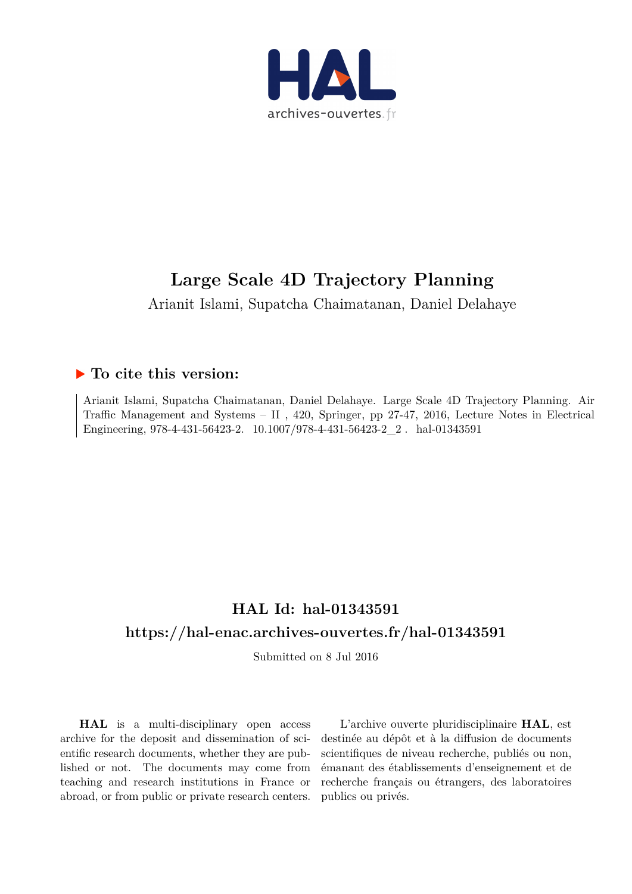

Arianit Islami, Supatcha Chaimatanan, Daniel Delahaye

## **To cite this version:**

Arianit Islami, Supatcha Chaimatanan, Daniel Delahaye. Large Scale 4D Trajectory Planning. Air Traffic Management and Systems – II , 420, Springer, pp 27-47, 2016, Lecture Notes in Electrical Engineering, 978-4-431-56423-2. 10.1007/978-4-431-56423-2\_2. hal-01343591

## **HAL Id: hal-01343591 https://hal-enac.archives-ouvertes.fr/hal-01343591**

Submitted on 8 Jul 2016

**HAL** is a multi-disciplinary open access archive for the deposit and dissemination of scientific research documents, whether they are published or not. The documents may come from teaching and research institutions in France or abroad, or from public or private research centers.

L'archive ouverte pluridisciplinaire **HAL**, est destinée au dépôt et à la diffusion de documents scientifiques de niveau recherche, publiés ou non, émanant des établissements d'enseignement et de recherche français ou étrangers, des laboratoires publics ou privés.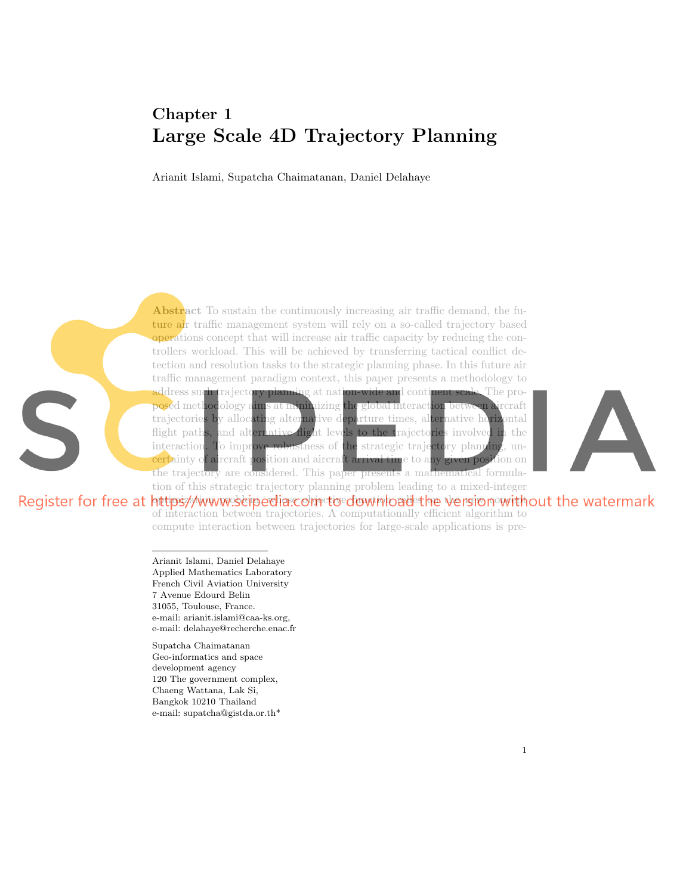## Chapter 1 Large Scale 4D Trajectory Planning

Arianit Islami, Supatcha Chaimatanan, Daniel Delahaye

Abstract To sustain the continuously increasing air traffic demand, the future air traffic management system will rely on a so-called trajectory based operations concept that will increase air traffic capacity by reducing the controllers workload. This will be achieved by transferring tactical conflict detection and resolution tasks to the strategic planning phase. In this future air traffic management paradigm context, this paper presents a methodology to address such trajectory planning at nation-wide and continent scale. The proposed methodology aims at minimizing the global interaction between aircraft trajectories by allocating alternative departure times, alternative horizontal flight paths, and alternative flight levels to the trajectories involved in the interaction. To improve robustness of the strategic trajectory planning, uncertainty of aircraft position and aircraft arrival time to any given position on the trajectory are considered. This paper presents a mathematical formulation of this strategic trajectory planning problem leading to a mixed-integer



Register for free at https//www.scipeclia.com to download the version without the watermark of interaction between trajectories. A computationally efficient algorithm to compute interaction between trajectories for large-scale applications is pre-

> Arianit Islami, Daniel Delahaye Applied Mathematics Laboratory French Civil Aviation University 7 Avenue Edourd Belin 31055, Toulouse, France. e-mail: arianit.islami@caa-ks.org, e-mail: delahaye@recherche.enac.fr

S

Supatcha Chaimatanan Geo-informatics and space development agency 120 The government complex, Chaeng Wattana, Lak Si, Bangkok 10210 Thailand e-mail: supatcha@gistda.or.th\*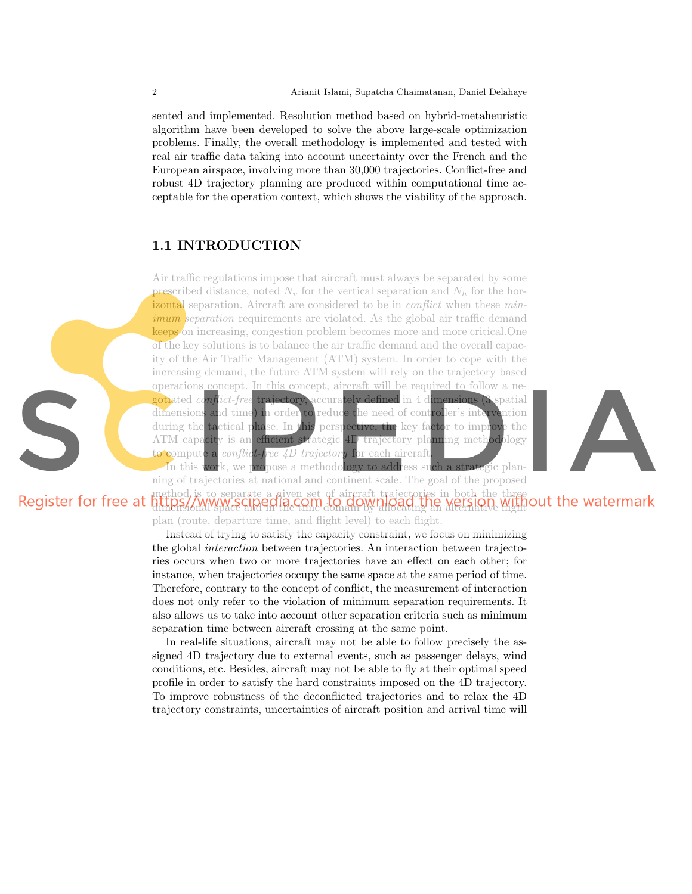sented and implemented. Resolution method based on hybrid-metaheuristic algorithm have been developed to solve the above large-scale optimization problems. Finally, the overall methodology is implemented and tested with real air traffic data taking into account uncertainty over the French and the European airspace, involving more than 30,000 trajectories. Conflict-free and robust 4D trajectory planning are produced within computational time acceptable for the operation context, which shows the viability of the approach.

## 1.1 INTRODUCTION

Air traffic regulations impose that aircraft must always be separated by some prescribed distance, noted  $N_v$  for the vertical separation and  $N_h$  for the horizontal separation. Aircraft are considered to be in *conflict* when these *min*imum separation requirements are violated. As the global air traffic demand keeps on increasing, congestion problem becomes more and more critical.One of the key solutions is to balance the air traffic demand and the overall capacity of the Air Traffic Management (ATM) system. In order to cope with the increasing demand, the future ATM system will rely on the trajectory based operations concept. In this concept, aircraft will be required to follow a negotiated conflict-free trajectory, accurately defined in 4 dimensions (3 spatial dimensions and time) in order to reduce the need of controller's intervention during the tactical phase. In this perspective, the key factor to improve the ATM capacity is an efficient strategic 4D trajectory planning methodology to compute a *conflict-free 4D trajectory* for each aircraft.



In this work, we propose a methodology to address such a strategic planning of trajectories at national and continent scale. The goal of the proposed

method is to separate a given set of aircraft trajectories in both the three dimensional space and in the time domain by allocating an alternative flight

plan (route, departure time, and flight level) to each flight.

Instead of trying to satisfy the capacity constraint, we focus on minimizing the global interaction between trajectories. An interaction between trajectories occurs when two or more trajectories have an effect on each other; for instance, when trajectories occupy the same space at the same period of time. Therefore, contrary to the concept of conflict, the measurement of interaction does not only refer to the violation of minimum separation requirements. It also allows us to take into account other separation criteria such as minimum separation time between aircraft crossing at the same point.

In real-life situations, aircraft may not be able to follow precisely the assigned 4D trajectory due to external events, such as passenger delays, wind conditions, etc. Besides, aircraft may not be able to fly at their optimal speed profile in order to satisfy the hard constraints imposed on the 4D trajectory. To improve robustness of the deconflicted trajectories and to relax the 4D trajectory constraints, uncertainties of aircraft position and arrival time will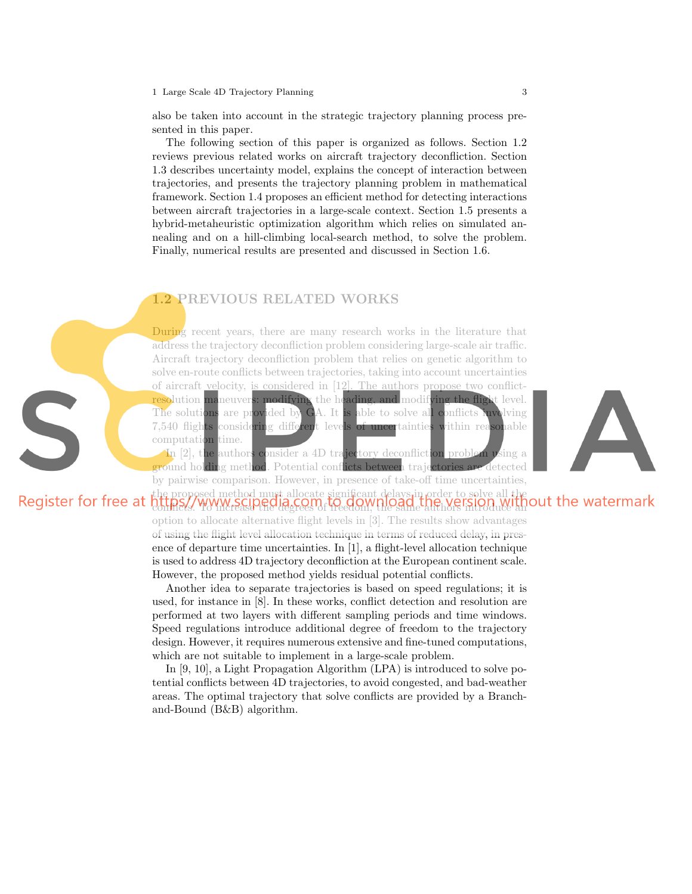also be taken into account in the strategic trajectory planning process presented in this paper.

The following section of this paper is organized as follows. Section 1.2 reviews previous related works on aircraft trajectory deconfliction. Section 1.3 describes uncertainty model, explains the concept of interaction between trajectories, and presents the trajectory planning problem in mathematical framework. Section 1.4 proposes an efficient method for detecting interactions between aircraft trajectories in a large-scale context. Section 1.5 presents a hybrid-metaheuristic optimization algorithm which relies on simulated annealing and on a hill-climbing local-search method, to solve the problem. Finally, numerical results are presented and discussed in Section 1.6.

## 1.2 PREVIOUS RELATED WORKS

S

During recent years, there are many research works in the literature that address the trajectory deconfliction problem considering large-scale air traffic. Aircraft trajectory deconfliction problem that relies on genetic algorithm to solve en-route conflicts between trajectories, taking into account uncertainties of aircraft velocity, is considered in [12]. The authors propose two conflictresolution maneuvers: modifying the heading, and modifying the flight level. The solutions are provided by GA. It is able to solve all conflicts involving 7,540 flights considering different levels of uncertainties within reasonable computation time.



In [2], the authors consider a 4D trajectory deconfliction problem using a ground holding method. Potential conflicts between trajectories are detected by pairwise comparison. However, in presence of take-off time uncertainties,

### the proposed method must allocate significant delays in order to solve all the conflicts. To increase the degrees of freedom, the same authors introduce an

option to allocate alternative flight levels in [3]. The results show advantages of using the flight level allocation technique in terms of reduced delay, in presence of departure time uncertainties. In [1], a flight-level allocation technique is used to address 4D trajectory deconfliction at the European continent scale. However, the proposed method yields residual potential conflicts.

Another idea to separate trajectories is based on speed regulations; it is used, for instance in [8]. In these works, conflict detection and resolution are performed at two layers with different sampling periods and time windows. Speed regulations introduce additional degree of freedom to the trajectory design. However, it requires numerous extensive and fine-tuned computations, which are not suitable to implement in a large-scale problem.

In [9, 10], a Light Propagation Algorithm (LPA) is introduced to solve potential conflicts between 4D trajectories, to avoid congested, and bad-weather areas. The optimal trajectory that solve conflicts are provided by a Branchand-Bound (B&B) algorithm.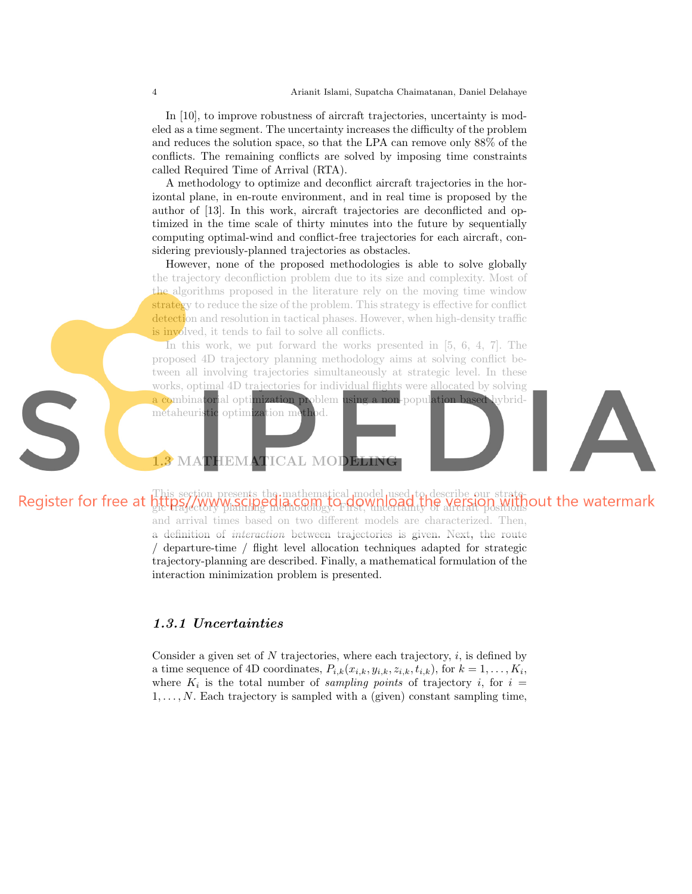In [10], to improve robustness of aircraft trajectories, uncertainty is modeled as a time segment. The uncertainty increases the difficulty of the problem and reduces the solution space, so that the LPA can remove only 88% of the conflicts. The remaining conflicts are solved by imposing time constraints called Required Time of Arrival (RTA).

A methodology to optimize and deconflict aircraft trajectories in the horizontal plane, in en-route environment, and in real time is proposed by the author of [13]. In this work, aircraft trajectories are deconflicted and optimized in the time scale of thirty minutes into the future by sequentially computing optimal-wind and conflict-free trajectories for each aircraft, considering previously-planned trajectories as obstacles.

However, none of the proposed methodologies is able to solve globally the trajectory deconfliction problem due to its size and complexity. Most of the algorithms proposed in the literature rely on the moving time window strategy to reduce the size of the problem. This strategy is effective for conflict detection and resolution in tactical phases. However, when high-density traffic is involved, it tends to fail to solve all conflicts.

In this work, we put forward the works presented in [5, 6, 4, 7]. The proposed 4D trajectory planning methodology aims at solving conflict between all involving trajectories simultaneously at strategic level. In these works, optimal 4D trajectories for individual flights were allocated by solving a combinatorial optimization problem using a non-population based hybrid-

metaheuristic optimization method.

## 1.3 MATHEMATICAL MODELING

### This section presents the mathematical model used to describe our strategic trajectory planning methodology. First, uncertainty of aircraft positions

and arrival times based on two different models are characterized. Then, a definition of interaction between trajectories is given. Next, the route / departure-time / flight level allocation techniques adapted for strategic trajectory-planning are described. Finally, a mathematical formulation of the interaction minimization problem is presented.

### 1.3.1 Uncertainties

Consider a given set of  $N$  trajectories, where each trajectory,  $i$ , is defined by a time sequence of 4D coordinates,  $P_{i,k}(x_{i,k}, y_{i,k}, z_{i,k}, t_{i,k})$ , for  $k = 1, \ldots, K_i$ , where  $K_i$  is the total number of sampling points of trajectory i, for  $i =$  $1, \ldots, N$ . Each trajectory is sampled with a (given) constant sampling time,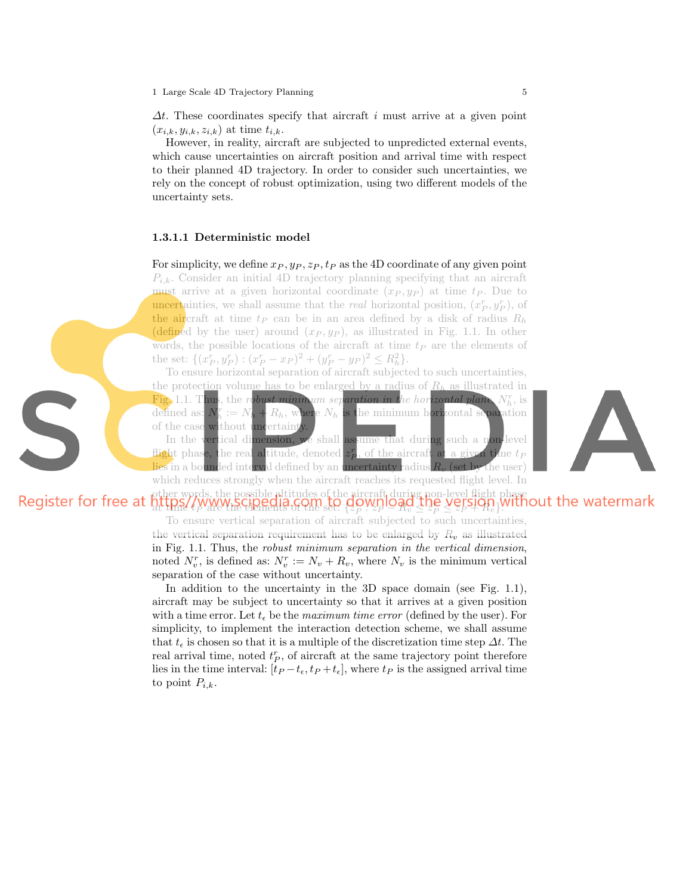$\Delta t$ . These coordinates specify that aircraft i must arrive at a given point  $(x_{i,k}, y_{i,k}, z_{i,k})$  at time  $t_{i,k}$ .

However, in reality, aircraft are subjected to unpredicted external events, which cause uncertainties on aircraft position and arrival time with respect to their planned 4D trajectory. In order to consider such uncertainties, we rely on the concept of robust optimization, using two different models of the uncertainty sets.

#### 1.3.1.1 Deterministic model

For simplicity, we define  $x_P, y_P, z_P, t_P$  as the 4D coordinate of any given point  $P_{i,k}$ . Consider an initial 4D trajectory planning specifying that an aircraft must arrive at a given horizontal coordinate  $(x_P, y_P)$  at time  $t_P$ . Due to **uncertainties**, we shall assume that the *real* horizontal position,  $(x_P^r, y_P^r)$ , of the aircraft at time  $t_P$  can be in an area defined by a disk of radius  $R_h$ (defined by the user) around  $(x_P, y_P)$ , as illustrated in Fig. 1.1. In other words, the possible locations of the aircraft at time  $t_P$  are the elements of the set:  $\{(x_P^r, y_P^r) : (x_P^r - x_P)^2 + (y_P^r - y_P)^2 \le R_h^2\}.$ 

To ensure horizontal separation of aircraft subjected to such uncertainties, the protection volume has to be enlarged by a radius of  $R_h$  as illustrated in Fig. 1.1. Thus, the robust minimum separation in the horizontal plane,  $N_h^r$ , is defined as:  $N_h^r := N_h + R_h$ , where  $N_h$  is the minimum horizontal separation of the case without uncertainty.

In the vertical dimension, we shall assume that during such a non-level flight phase, the real altitude, denoted  $z_{P}^{r}$ , of the aircraft at a given time  $t_{P}$ lies in a bounded interval defined by an uncertainty radius  $R_n$  (set by the user) which reduces strongly when the aircraft reaches its requested flight level. In

## other words, the possible altitudes of the aircraft during non-level flight phase  $\mathcal{H}$  thre  $\ell_P$  are the elements of the set:  $\{z_P \cdot z_P = \mathcal{H}_v \leq z_P \leq z_P + \mathcal{H}_v\}$ .

To ensure vertical separation of aircraft subjected to such uncertainties, the vertical separation requirement has to be enlarged by  $R_v$  as illustrated in Fig. 1.1. Thus, the robust minimum separation in the vertical dimension, noted  $N_v^r$ , is defined as:  $N_v^r := N_v + R_v$ , where  $N_v$  is the minimum vertical separation of the case without uncertainty.

In addition to the uncertainty in the 3D space domain (see Fig. 1.1), aircraft may be subject to uncertainty so that it arrives at a given position with a time error. Let  $t_{\epsilon}$  be the *maximum time error* (defined by the user). For simplicity, to implement the interaction detection scheme, we shall assume that  $t_{\epsilon}$  is chosen so that it is a multiple of the discretization time step  $\Delta t$ . The real arrival time, noted  $t_P^r$ , of aircraft at the same trajectory point therefore lies in the time interval:  $[t_P - t_\epsilon, t_P + t_\epsilon]$ , where  $t_P$  is the assigned arrival time to point  $P_{i,k}$ .

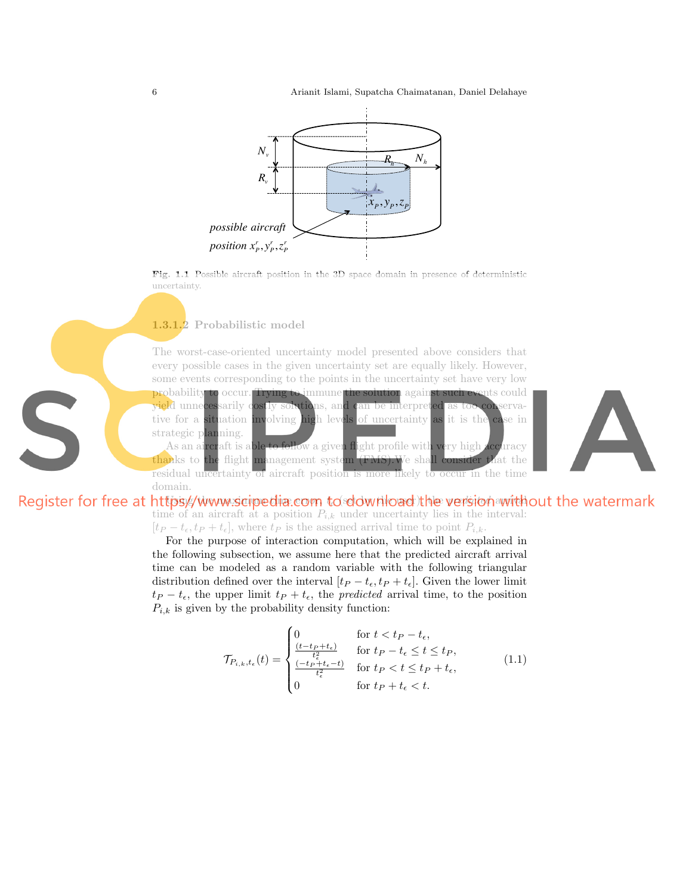6 Arianit Islami, Supatcha Chaimatanan, Daniel Delahaye





1.3.1.2 Probabilistic model

The worst-case-oriented uncertainty model presented above considers that every possible cases in the given uncertainty set are equally likely. However, some events corresponding to the points in the uncertainty set have very low probability to occur. Trying to immune the solution against such events could yield unnecessarily costly solutions, and can be interpreted as too conservative for a situation involving high levels of uncertainty as it is the case in

strategic planning. As an aircraft is able to follow a given flight profile with very high accuracy thanks to the flight management system (FMS).We shall consider that the residual uncertainty of aircraft position is more likely to occur in the time domain.



## Register for free at httpsy/www.scipedia.com to download the version without the watermark time of an aircraft at a position  $P_{i,k}$  under uncertainty lies in the interval:  $[t_P - t_{\epsilon}, t_P + t_{\epsilon}],$  where  $t_P$  is the assigned arrival time to point  $P_{i,k}$ .

For the purpose of interaction computation, which will be explained in the following subsection, we assume here that the predicted aircraft arrival time can be modeled as a random variable with the following triangular distribution defined over the interval  $[t_P - t_{\epsilon}, t_P + t_{\epsilon}]$ . Given the lower limit  $t_P - t_{\epsilon}$ , the upper limit  $t_P + t_{\epsilon}$ , the *predicted* arrival time, to the position  $P_{i,k}$  is given by the probability density function:

$$
\mathcal{T}_{P_{i,k},t_{\epsilon}}(t) = \begin{cases}\n0 & \text{for } t < t_{P} - t_{\epsilon}, \\
\frac{(t - t_{P} + t_{\epsilon})}{t_{\epsilon}^{2}} & \text{for } t_{P} - t_{\epsilon} \leq t \leq t_{P}, \\
\frac{(-t_{P} + t_{\epsilon} - t)}{t_{\epsilon}^{2}} & \text{for } t_{P} < t \leq t_{P} + t_{\epsilon}, \\
0 & \text{for } t_{P} + t_{\epsilon} < t.\n\end{cases} \tag{1.1}
$$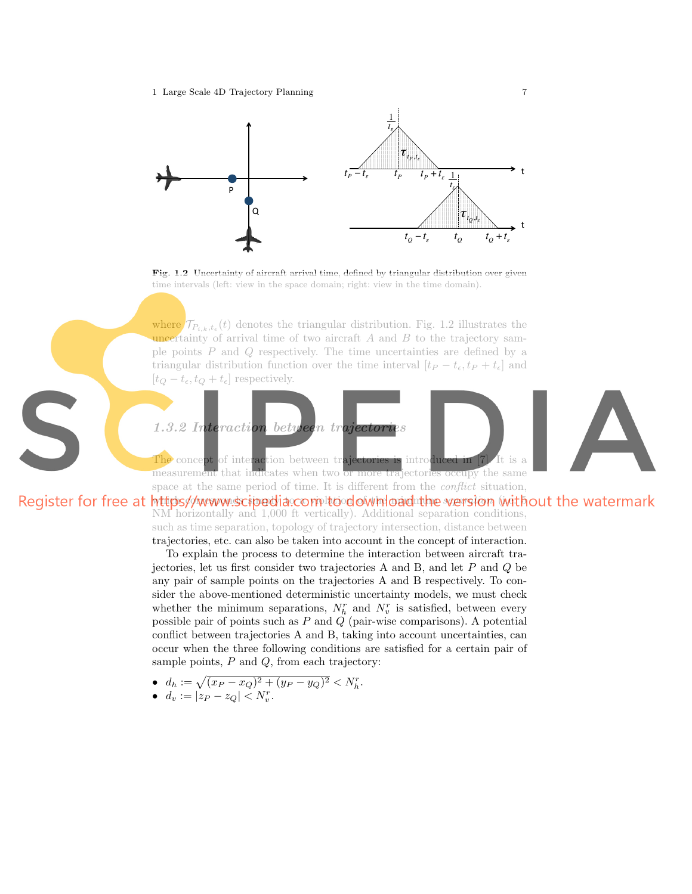1 Large Scale 4D Trajectory Planning 7



Fig. 1.2 Uncertainty of aircraft arrival time, defined by triangular distribution over given time intervals (left: view in the space domain; right: view in the time domain).

where  $\mathcal{T}_{P_{i,k},t_{\epsilon}}(t)$  denotes the triangular distribution. Fig. 1.2 illustrates the uncertainty of arrival time of two aircraft  $A$  and  $B$  to the trajectory sample points P and Q respectively. The time uncertainties are defined by a triangular distribution function over the time interval  $[t_P - t_{\epsilon}, t_P + t_{\epsilon}]$  and  $[t_Q - t_{\epsilon}, t_Q + t_{\epsilon}]$  respectively.



measurement that indicates when two or more trajectories occupy the same space at the same period of time. It is different from the *conflict* situation.

Register for free at https//www.scipedia.com to download the version without the watermark NM horizontally and 1,000 ft vertically). Additional separation conditions, such as time separation, topology of trajectory intersection, distance between trajectories, etc. can also be taken into account in the concept of interaction.

To explain the process to determine the interaction between aircraft trajectories, let us first consider two trajectories A and B, and let P and Q be any pair of sample points on the trajectories A and B respectively. To consider the above-mentioned deterministic uncertainty models, we must check whether the minimum separations,  $N_h^r$  and  $N_v^r$  is satisfied, between every possible pair of points such as P and  $\tilde{Q}$  (pair-wise comparisons). A potential conflict between trajectories A and B, taking into account uncertainties, can occur when the three following conditions are satisfied for a certain pair of sample points,  $P$  and  $Q$ , from each trajectory:

•  $d_h := \sqrt{(x_P - x_Q)^2 + (y_P - y_Q)^2} < N_h^r$ .

• 
$$
d_v := |z_P - z_Q| < N_v^r.
$$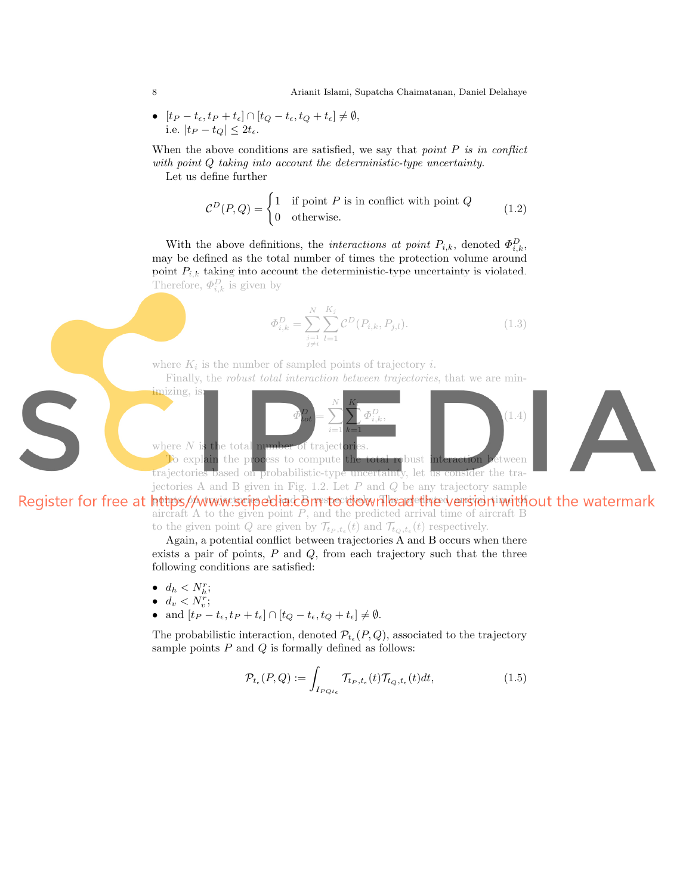8 Arianit Islami, Supatcha Chaimatanan, Daniel Delahaye

• 
$$
[t_P - t_{\epsilon}, t_P + t_{\epsilon}] \cap [t_Q - t_{\epsilon}, t_Q + t_{\epsilon}] \neq \emptyset
$$
,  
i.e.  $|t_P - t_Q| \leq 2t_{\epsilon}$ .

When the above conditions are satisfied, we say that point  $P$  is in conflict with point Q taking into account the deterministic-type uncertainty. Let us define further

> $\mathcal{C}^D(P,Q) = \begin{cases} 1 & \text{if point } P \text{ is in conflict with point } Q \\ 0 & \text{otherwise.} \end{cases}$ 0 otherwise. (1.2)

With the above definitions, the *interactions at point*  $P_{i,k}$ , denoted  $\Phi_{i,k}^D$ , may be defined as the total number of times the protection volume around point  $P_{i,k}$  taking into account the deterministic-type uncertainty is violated. Therefore,  $\Phi_{i,k}^D$  is given by

$$
\Phi_{i,k}^D = \sum_{\substack{j=1 \ j \neq i}}^N \sum_{l=1}^{K_j} \mathcal{C}^D(P_{i,k}, P_{j,l}).\tag{1.3}
$$

where  $K_i$  is the number of sampled points of trajectory *i*.

Finally, the *robust total interaction between trajectories*, that we are min-





trajectories based on probabilistic-type uncertainty, let us consider the trajectories A and B given in Fig. 1.2. Let  $P$  and  $Q$  be any trajectory sample

Register for free at https//www.scipedia.comstocdownload the version without the watermark aircraft  $A$  to the given point  $P$ , and the predicted arrival time of aircraft  $B$ to the given point Q are given by  $\mathcal{T}_{t_P,t_{\epsilon}}(t)$  and  $\mathcal{T}_{t_Q,t_{\epsilon}}(t)$  respectively.

Again, a potential conflict between trajectories A and B occurs when there exists a pair of points,  $P$  and  $Q$ , from each trajectory such that the three following conditions are satisfied:

- $\bullet \ \ d_h < N_h^r$
- $d_v < N_v^r;$
- and  $[t_P t_{\epsilon}, t_P + t_{\epsilon}] \cap [t_Q t_{\epsilon}, t_Q + t_{\epsilon}] \neq \emptyset$ .

The probabilistic interaction, denoted  $\mathcal{P}_{t_{\epsilon}}(P,Q)$ , associated to the trajectory sample points  $P$  and  $Q$  is formally defined as follows:

$$
\mathcal{P}_{t_{\epsilon}}(P,Q) := \int_{I_{PQt_{\epsilon}}} \mathcal{T}_{t_{P},t_{\epsilon}}(t) \mathcal{T}_{t_{Q},t_{\epsilon}}(t) dt, \qquad (1.5)
$$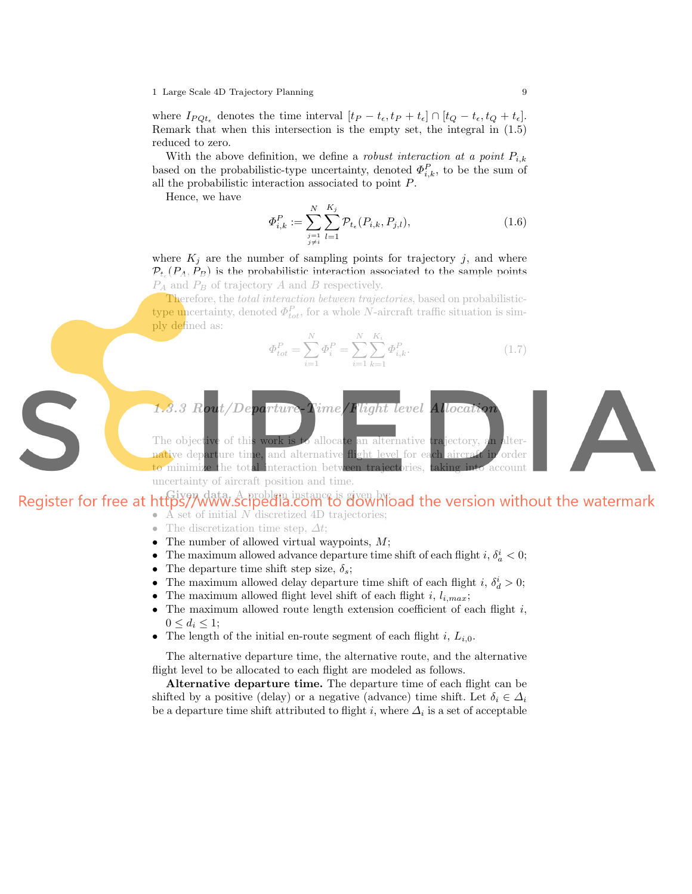where  $I_{PQ_t_{\epsilon}}$  denotes the time interval  $[t_P - t_{\epsilon}, t_P + t_{\epsilon}] \cap [t_Q - t_{\epsilon}, t_Q + t_{\epsilon}].$ Remark that when this intersection is the empty set, the integral in (1.5) reduced to zero.

With the above definition, we define a *robust interaction at a point*  $P_{i,k}$ based on the probabilistic-type uncertainty, denoted  $\Phi_{i,k}^P$ , to be the sum of all the probabilistic interaction associated to point P.

Hence, we have

$$
\Phi_{i,k}^P := \sum_{\substack{j=1 \ j \neq i}}^N \sum_{l=1}^{K_j} \mathcal{P}_{t_\epsilon}(P_{i,k}, P_{j,l}),\tag{1.6}
$$

where  $K_i$  are the number of sampling points for trajectory j, and where  $\mathcal{P}_{t_{\epsilon}}(P_A, P_B)$  is the probabilistic interaction associated to the sample points  $P_A$  and  $P_B$  of trajectory A and B respectively.

Therefore, the *total interaction between trajectories*, based on probabilistictype uncertainty, denoted  $\Phi_{tot}^P$ , for a whole N-aircraft traffic situation is simply defined as:

$$
\Phi_{tot}^P = \sum_{i=1}^N \Phi_i^P = \sum_{i=1}^N \sum_{k=1}^{K_i} \Phi_{i,k}^P.
$$
\n(1.7)

 $1.3.3$  Rout/Departure-Time/Flight level

The objective of this work is to allocate an alternative trajectory, native departure time, and alternative flight level for each to minimize the total interaction between trajectories, uncertainty of aircraft position and time.

## Register for free at https//www.scipedia.com to download the version without the watermark  $\overrightarrow{A}$  set of initial N discretized 4D trajectories;

- The discretization time step,  $\Delta t$ ;
- The number of allowed virtual waypoints,  $M$ ;
- The maximum allowed advance departure time shift of each flight i,  $\delta_a^i < 0$ ;
- The departure time shift step size,  $\delta_s$ ;
- The maximum allowed delay departure time shift of each flight *i*,  $\delta_d^i > 0$ ;
- The maximum allowed flight level shift of each flight i,  $l_{i,max}$ ;
- The maximum allowed route length extension coefficient of each flight  $i$ ,  $0 \leq d_i \leq 1;$
- The length of the initial en-route segment of each flight i,  $L_{i,0}$ .

The alternative departure time, the alternative route, and the alternative flight level to be allocated to each flight are modeled as follows.

Alternative departure time. The departure time of each flight can be shifted by a positive (delay) or a negative (advance) time shift. Let  $\delta_i \in \Delta_i$ be a departure time shift attributed to flight i, where  $\Delta_i$  is a set of acceptable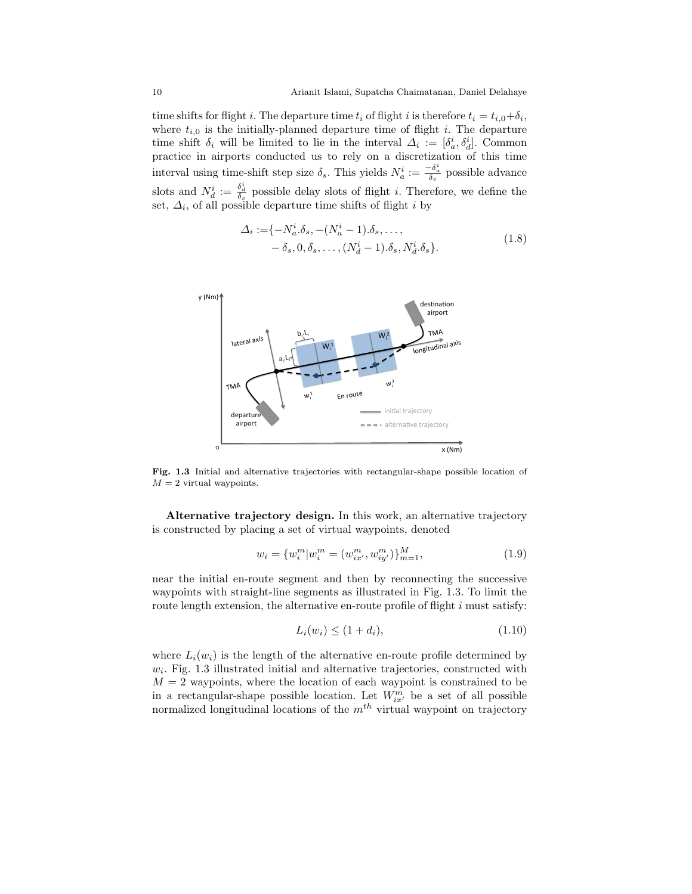time shifts for flight *i*. The departure time  $t_i$  of flight *i* is therefore  $t_i = t_{i,0} + \delta_i$ , where  $t_{i,0}$  is the initially-planned departure time of flight i. The departure time shift  $\delta_i$  will be limited to lie in the interval  $\Delta_i := [\delta_a^i, \delta_d^i]$ . Common practice in airports conducted us to rely on a discretization of this time interval using time-shift step size  $\delta_s$ . This yields  $N_a^i := \frac{-\delta_a^i}{\delta_s}$  possible advance slots and  $N_d^i := \frac{\delta_d^i}{\delta_s}$  possible delay slots of flight *i*. Therefore, we define the set,  $\Delta_i$ , of all possible departure time shifts of flight *i* by

$$
\Delta_i := \{-N_a^i \delta_s, -(N_a^i - 1)\delta_s, \dots, \n- \delta_s, 0, \delta_s, \dots, (N_d^i - 1)\delta_s, N_d^i \delta_s\}.
$$
\n(1.8)



Fig. 1.3 Initial and alternative trajectories with rectangular-shape possible location of  $M = 2$  virtual waypoints.

Alternative trajectory design. In this work, an alternative trajectory is constructed by placing a set of virtual waypoints, denoted

$$
w_i = \{w_i^m | w_i^m = (w_{ix'}^m, w_{iy'}^m)\}_{m=1}^M,
$$
\n(1.9)

near the initial en-route segment and then by reconnecting the successive waypoints with straight-line segments as illustrated in Fig. 1.3. To limit the route length extension, the alternative en-route profile of flight  $i$  must satisfy:

$$
L_i(w_i) \le (1 + d_i), \tag{1.10}
$$

where  $L_i(w_i)$  is the length of the alternative en-route profile determined by  $w_i$ . Fig. 1.3 illustrated initial and alternative trajectories, constructed with  $M = 2$  waypoints, where the location of each waypoint is constrained to be in a rectangular-shape possible location. Let  $W_{ix'}^m$  be a set of all possible normalized longitudinal locations of the  $m<sup>th</sup>$  virtual waypoint on trajectory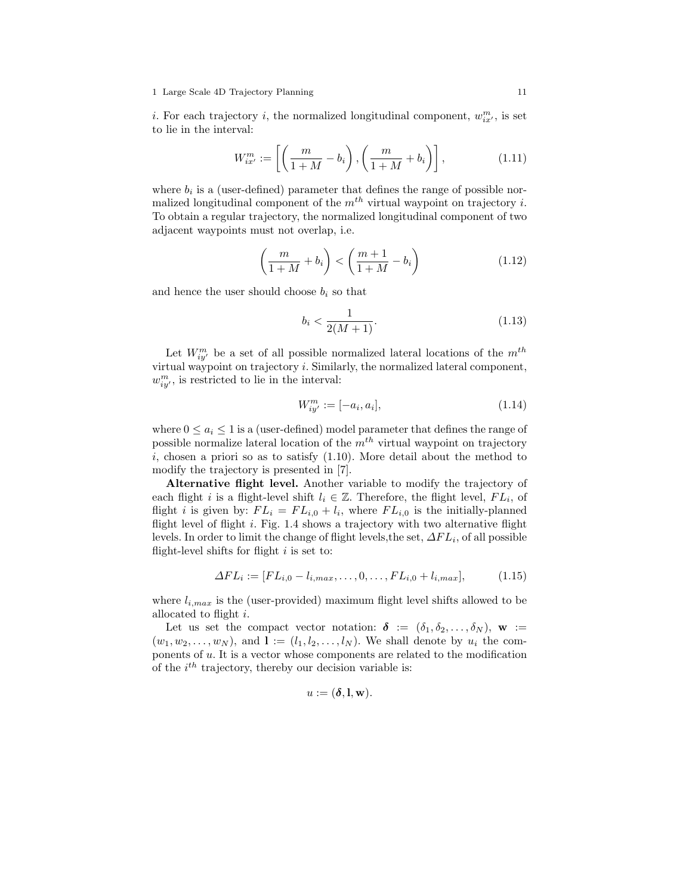*i*. For each trajectory *i*, the normalized longitudinal component,  $w_{ix'}^m$ , is set to lie in the interval:

$$
W_{ix'}^m := \left[ \left( \frac{m}{1+M} - b_i \right), \left( \frac{m}{1+M} + b_i \right) \right],\tag{1.11}
$$

where  $b_i$  is a (user-defined) parameter that defines the range of possible normalized longitudinal component of the  $m<sup>th</sup>$  virtual waypoint on trajectory *i*. To obtain a regular trajectory, the normalized longitudinal component of two adjacent waypoints must not overlap, i.e.

$$
\left(\frac{m}{1+M} + b_i\right) < \left(\frac{m+1}{1+M} - b_i\right) \tag{1.12}
$$

and hence the user should choose  $b_i$  so that

$$
b_i < \frac{1}{2(M+1)}.\tag{1.13}
$$

Let  $W_{iy'}^m$  be a set of all possible normalized lateral locations of the  $m^{th}$ virtual waypoint on trajectory i. Similarly, the normalized lateral component,  $w_{iy'}^m$ , is restricted to lie in the interval:

$$
W_{iy'}^m := [-a_i, a_i], \tag{1.14}
$$

where  $0 \le a_i \le 1$  is a (user-defined) model parameter that defines the range of possible normalize lateral location of the  $m<sup>th</sup>$  virtual waypoint on trajectory  $i$ , chosen a priori so as to satisfy  $(1.10)$ . More detail about the method to modify the trajectory is presented in [7].

Alternative flight level. Another variable to modify the trajectory of each flight i is a flight-level shift  $l_i \in \mathbb{Z}$ . Therefore, the flight level,  $FL_i$ , of flight *i* is given by:  $FL_i = FL_{i,0} + l_i$ , where  $FL_{i,0}$  is the initially-planned flight level of flight  $i$ . Fig. 1.4 shows a trajectory with two alternative flight levels. In order to limit the change of flight levels, the set,  $\Delta FL_i$ , of all possible flight-level shifts for flight  $i$  is set to:

$$
\Delta FL_i := [FL_{i,0} - l_{i,max}, \dots, 0, \dots, FL_{i,0} + l_{i,max}], \tag{1.15}
$$

where  $l_{i,max}$  is the (user-provided) maximum flight level shifts allowed to be allocated to flight i.

Let us set the compact vector notation:  $\delta := (\delta_1, \delta_2, \ldots, \delta_N)$ , w :=  $(w_1, w_2, \ldots, w_N)$ , and  $\mathbf{l} := (l_1, l_2, \ldots, l_N)$ . We shall denote by  $u_i$  the components of u. It is a vector whose components are related to the modification of the  $i^{th}$  trajectory, thereby our decision variable is:

$$
u:=(\pmb{\delta},\mathbf{l},\mathbf{w}).
$$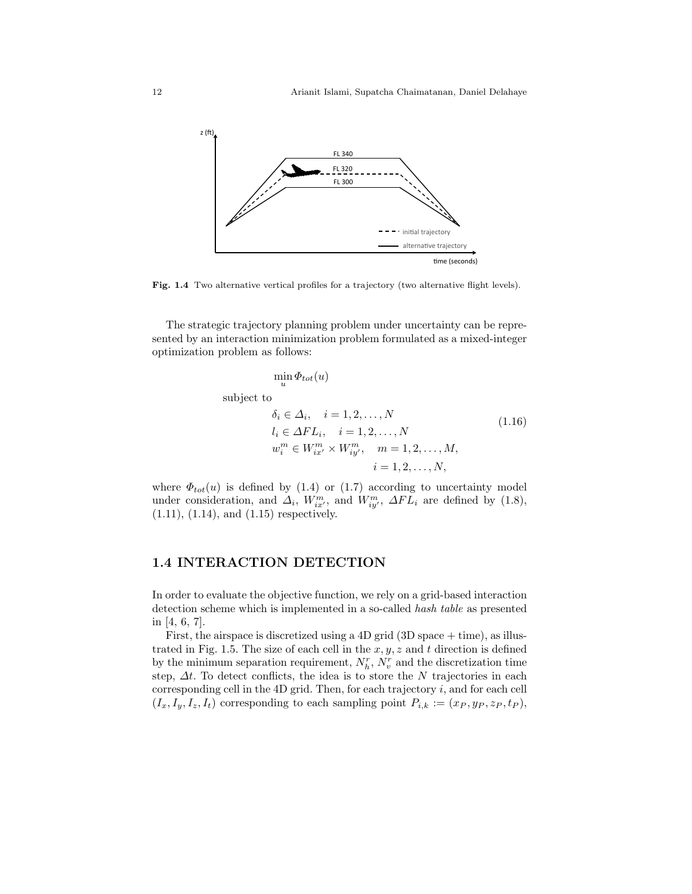

Fig. 1.4 Two alternative vertical profiles for a trajectory (two alternative flight levels).

The strategic trajectory planning problem under uncertainty can be represented by an interaction minimization problem formulated as a mixed-integer optimization problem as follows:

$$
\min_{u} \Phi_{tot}(u)
$$
\nsubject to\n
$$
\delta_i \in \Delta_i, \quad i = 1, 2, \dots, N
$$
\n
$$
l_i \in \Delta FL_i, \quad i = 1, 2, \dots, N
$$
\n
$$
w_i^m \in W_{ix'}^m \times W_{iy'}^m, \quad m = 1, 2, \dots, M,
$$
\n
$$
i = 1, 2, \dots, N,
$$
\n
$$
(1.16)
$$

where  $\Phi_{tot}(u)$  is defined by (1.4) or (1.7) according to uncertainty model under consideration, and  $\Delta_i$ ,  $W_{ix'}^m$ , and  $W_{iy'}^m$ ,  $\Delta FL_i$  are defined by (1.8), (1.11), (1.14), and (1.15) respectively.

#### 1.4 INTERACTION DETECTION

In order to evaluate the objective function, we rely on a grid-based interaction detection scheme which is implemented in a so-called hash table as presented in [4, 6, 7].

First, the airspace is discretized using a  $4D$  grid  $(3D$  space  $+$  time), as illustrated in Fig. 1.5. The size of each cell in the  $x, y, z$  and t direction is defined by the minimum separation requirement,  $N_h^r$ ,  $N_v^r$  and the discretization time step,  $\Delta t$ . To detect conflicts, the idea is to store the N trajectories in each corresponding cell in the  $4D$  grid. Then, for each trajectory  $i$ , and for each cell  $(I_x, I_y, I_z, I_t)$  corresponding to each sampling point  $P_{i,k} := (x_P, y_P, z_P, t_P)$ ,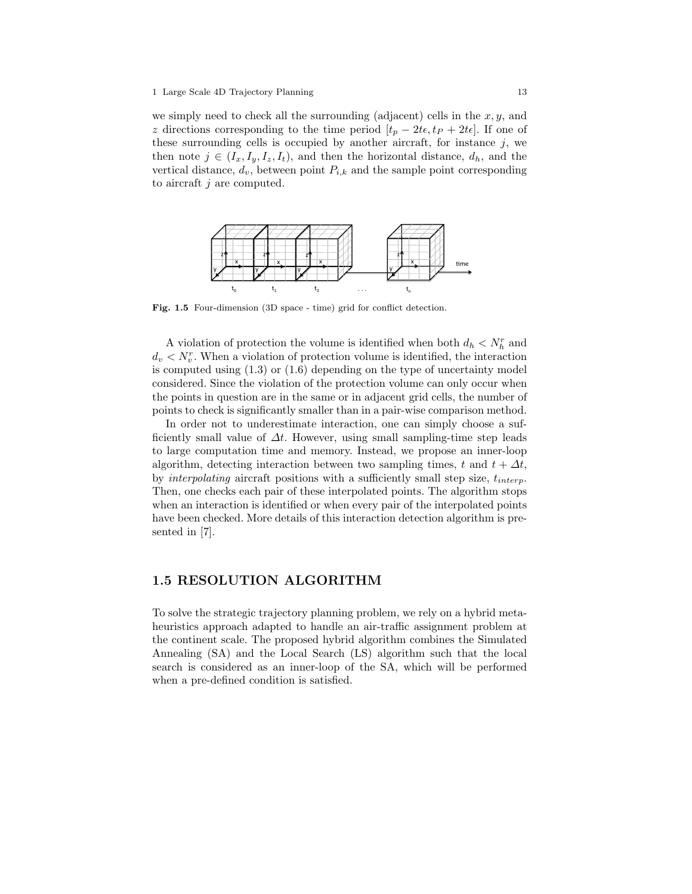we simply need to check all the surrounding (adjacent) cells in the  $x, y$ , and z directions corresponding to the time period  $[t_p - 2t\epsilon, t_p + 2t\epsilon]$ . If one of these surrounding cells is occupied by another aircraft, for instance  $j$ , we then note  $j \in (I_x, I_y, I_z, I_t)$ , and then the horizontal distance,  $d_h$ , and the vertical distance,  $d_v$ , between point  $P_{i,k}$  and the sample point corresponding to aircraft j are computed.



Fig. 1.5 Four-dimension (3D space - time) grid for conflict detection.

A violation of protection the volume is identified when both  $d_h \langle N_h^r \rangle$  and  $d_v < N_v^r$ . When a violation of protection volume is identified, the interaction is computed using  $(1.3)$  or  $(1.6)$  depending on the type of uncertainty model considered. Since the violation of the protection volume can only occur when the points in question are in the same or in adjacent grid cells, the number of points to check is significantly smaller than in a pair-wise comparison method.

In order not to underestimate interaction, one can simply choose a sufficiently small value of  $\Delta t$ . However, using small sampling-time step leads to large computation time and memory. Instead, we propose an inner-loop algorithm, detecting interaction between two sampling times, t and  $t + \Delta t$ , by interpolating aircraft positions with a sufficiently small step size,  $t_{interp}$ . Then, one checks each pair of these interpolated points. The algorithm stops when an interaction is identified or when every pair of the interpolated points have been checked. More details of this interaction detection algorithm is presented in [7].

## 1.5 RESOLUTION ALGORITHM

To solve the strategic trajectory planning problem, we rely on a hybrid metaheuristics approach adapted to handle an air-traffic assignment problem at the continent scale. The proposed hybrid algorithm combines the Simulated Annealing (SA) and the Local Search (LS) algorithm such that the local search is considered as an inner-loop of the SA, which will be performed when a pre-defined condition is satisfied.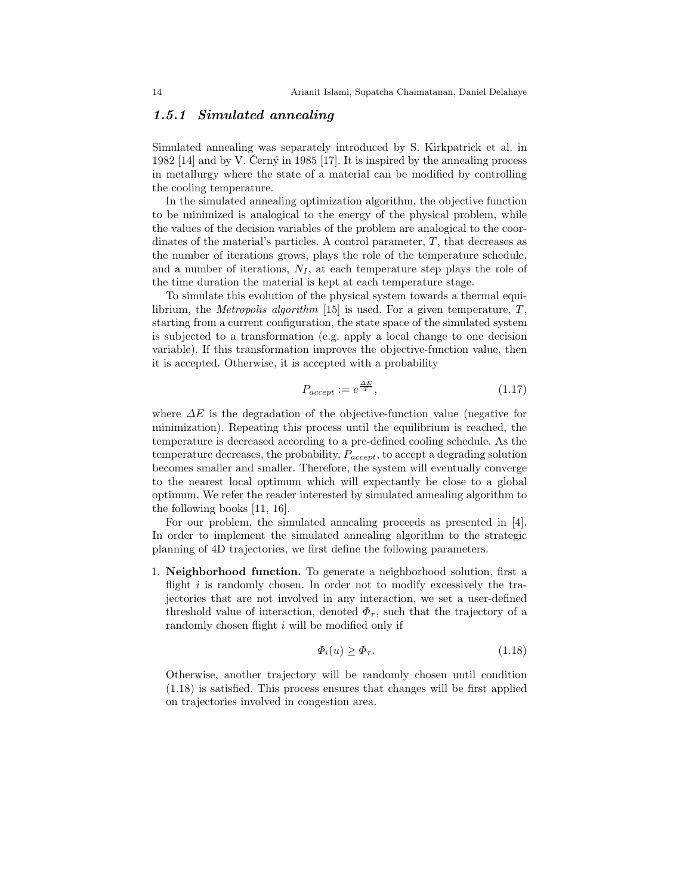### 1.5.1 Simulated annealing

Simulated annealing was separately introduced by S. Kirkpatrick et al. in 1982 [14] and by V. Černý in 1985 [17]. It is inspired by the annealing process in metallurgy where the state of a material can be modified by controlling the cooling temperature.

In the simulated annealing optimization algorithm, the objective function to be minimized is analogical to the energy of the physical problem, while the values of the decision variables of the problem are analogical to the coordinates of the material's particles. A control parameter,  $T$ , that decreases as the number of iterations grows, plays the role of the temperature schedule, and a number of iterations,  $N_I$ , at each temperature step plays the role of the time duration the material is kept at each temperature stage.

To simulate this evolution of the physical system towards a thermal equilibrium, the *Metropolis algorithm* [15] is used. For a given temperature,  $T$ , starting from a current configuration, the state space of the simulated system is subjected to a transformation (e.g. apply a local change to one decision variable). If this transformation improves the objective-function value, then it is accepted. Otherwise, it is accepted with a probability

$$
P_{accept} := e^{\frac{\Delta E}{T}},\tag{1.17}
$$

where  $\Delta E$  is the degradation of the objective-function value (negative for minimization). Repeating this process until the equilibrium is reached, the temperature is decreased according to a pre-defined cooling schedule. As the temperature decreases, the probability,  $P_{accept}$ , to accept a degrading solution becomes smaller and smaller. Therefore, the system will eventually converge to the nearest local optimum which will expectantly be close to a global optimum. We refer the reader interested by simulated annealing algorithm to the following books [11, 16].

For our problem, the simulated annealing proceeds as presented in [4]. In order to implement the simulated annealing algorithm to the strategic planning of 4D trajectories, we first define the following parameters.

1. Neighborhood function. To generate a neighborhood solution, first a flight  $i$  is randomly chosen. In order not to modify excessively the trajectories that are not involved in any interaction, we set a user-defined threshold value of interaction, denoted  $\Phi_{\tau}$ , such that the trajectory of a randomly chosen flight i will be modified only if

$$
\Phi_i(u) \ge \Phi_\tau. \tag{1.18}
$$

Otherwise, another trajectory will be randomly chosen until condition (1.18) is satisfied. This process ensures that changes will be first applied on trajectories involved in congestion area.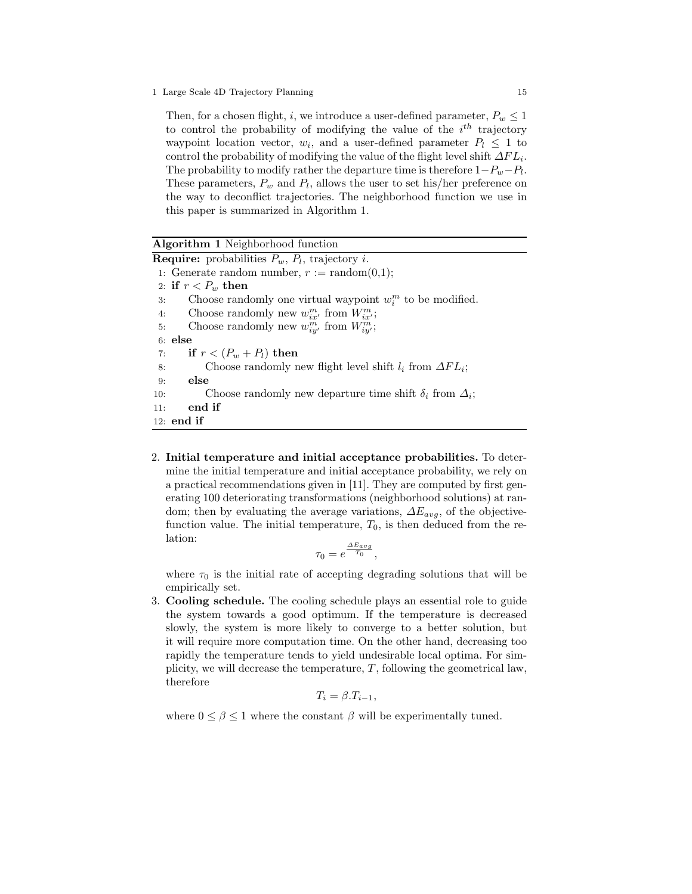Then, for a chosen flight, i, we introduce a user-defined parameter,  $P_w \leq 1$ to control the probability of modifying the value of the  $i^{th}$  trajectory waypoint location vector,  $w_i$ , and a user-defined parameter  $P_i \leq 1$  to control the probability of modifying the value of the flight level shift  $\Delta FL_i$ . The probability to modify rather the departure time is therefore  $1-P_w-P_l$ . These parameters,  $P_w$  and  $P_l$ , allows the user to set his/her preference on the way to deconflict trajectories. The neighborhood function we use in this paper is summarized in Algorithm 1.

#### Algorithm 1 Neighborhood function

**Require:** probabilities  $P_w$ ,  $P_l$ , trajectory *i*. 1: Generate random number,  $r := \text{random}(0,1);$ 2: if  $r < P_w$  then 3: Choose randomly one virtual waypoint  $w_i^m$  to be modified. 4: Choose randomly new  $w_{ix'}^m$  from  $W_{ix'}^m$ ; 5: Choose randomly new  $w_{iy'}^m$  from  $W_{iy'}^m$ ; 6: else 7: if  $r < (P_w + P_l)$  then 8: Choose randomly new flight level shift  $l_i$  from  $\Delta FL_i$ ; 9: else 10: Choose randomly new departure time shift  $\delta_i$  from  $\Delta_i$ ; 11: end if 12: end if

2. Initial temperature and initial acceptance probabilities. To determine the initial temperature and initial acceptance probability, we rely on a practical recommendations given in [11]. They are computed by first generating 100 deteriorating transformations (neighborhood solutions) at random; then by evaluating the average variations,  $\Delta E_{avg}$ , of the objectivefunction value. The initial temperature,  $T_0$ , is then deduced from the relation:

$$
\tau_0 = e^{\frac{\Delta E_{avg}}{T_0}},
$$

where  $\tau_0$  is the initial rate of accepting degrading solutions that will be empirically set.

3. Cooling schedule. The cooling schedule plays an essential role to guide the system towards a good optimum. If the temperature is decreased slowly, the system is more likely to converge to a better solution, but it will require more computation time. On the other hand, decreasing too rapidly the temperature tends to yield undesirable local optima. For simplicity, we will decrease the temperature,  $T$ , following the geometrical law, therefore

$$
T_i = \beta.T_{i-1},
$$

where  $0 \leq \beta \leq 1$  where the constant  $\beta$  will be experimentally tuned.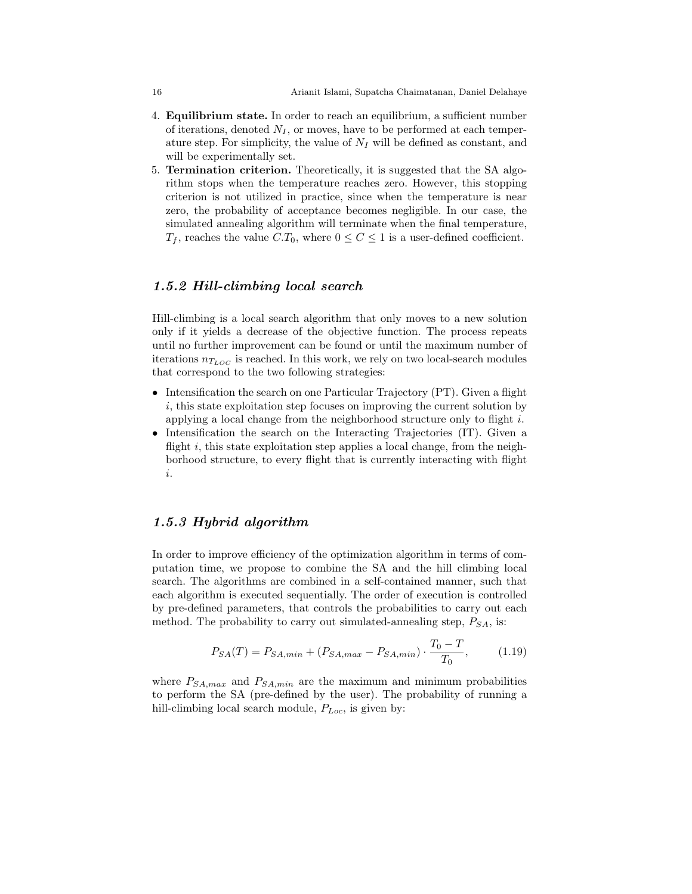- 4. Equilibrium state. In order to reach an equilibrium, a sufficient number of iterations, denoted  $N_I$ , or moves, have to be performed at each temperature step. For simplicity, the value of  $N_I$  will be defined as constant, and will be experimentally set.
- 5. Termination criterion. Theoretically, it is suggested that the SA algorithm stops when the temperature reaches zero. However, this stopping criterion is not utilized in practice, since when the temperature is near zero, the probability of acceptance becomes negligible. In our case, the simulated annealing algorithm will terminate when the final temperature,  $T_f$ , reaches the value  $C.T_0$ , where  $0 \le C \le 1$  is a user-defined coefficient.

## 1.5.2 Hill-climbing local search

Hill-climbing is a local search algorithm that only moves to a new solution only if it yields a decrease of the objective function. The process repeats until no further improvement can be found or until the maximum number of iterations  $n_{T_{LOC}}$  is reached. In this work, we rely on two local-search modules that correspond to the two following strategies:

- Intensification the search on one Particular Trajectory (PT). Given a flight i, this state exploitation step focuses on improving the current solution by applying a local change from the neighborhood structure only to flight  $i$ .
- Intensification the search on the Interacting Trajectories (IT). Given a flight i, this state exploitation step applies a local change, from the neighborhood structure, to every flight that is currently interacting with flight i.

## 1.5.3 Hybrid algorithm

In order to improve efficiency of the optimization algorithm in terms of computation time, we propose to combine the SA and the hill climbing local search. The algorithms are combined in a self-contained manner, such that each algorithm is executed sequentially. The order of execution is controlled by pre-defined parameters, that controls the probabilities to carry out each method. The probability to carry out simulated-annealing step,  $P_{SA}$ , is:

$$
P_{SA}(T) = P_{SA,min} + (P_{SA,max} - P_{SA,min}) \cdot \frac{T_0 - T}{T_0},\tag{1.19}
$$

where  $P_{SA,max}$  and  $P_{SA,min}$  are the maximum and minimum probabilities to perform the SA (pre-defined by the user). The probability of running a hill-climbing local search module,  $P_{Loc}$ , is given by: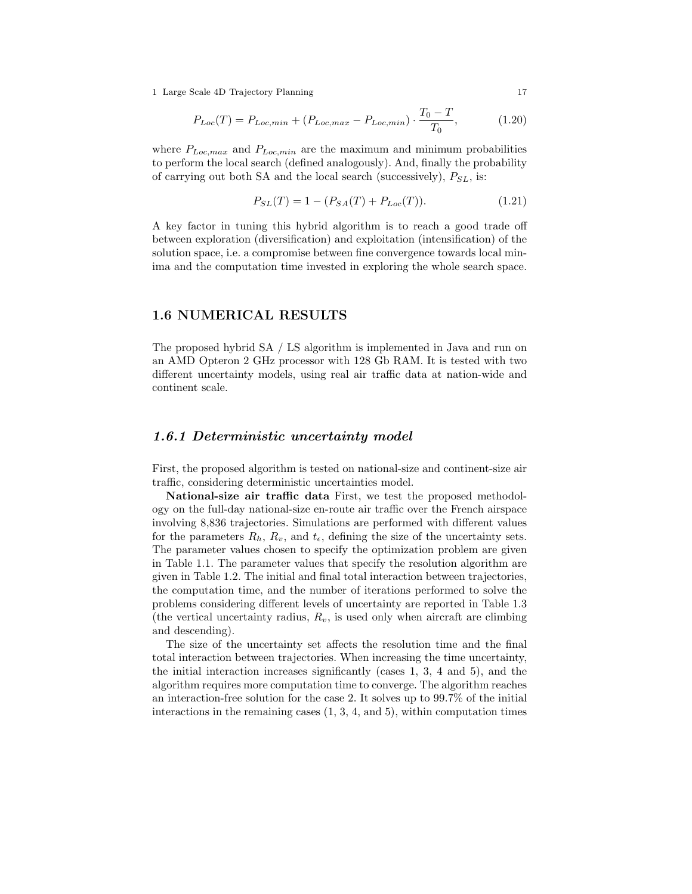$$
P_{Loc}(T) = P_{Loc,min} + (P_{Loc,max} - P_{Loc,min}) \cdot \frac{T_0 - T}{T_0},\tag{1.20}
$$

where  $P_{Loc,max}$  and  $P_{Loc,min}$  are the maximum and minimum probabilities to perform the local search (defined analogously). And, finally the probability of carrying out both SA and the local search (successively),  $P_{SL}$ , is:

$$
P_{SL}(T) = 1 - (P_{SA}(T) + P_{Loc}(T)).
$$
\n(1.21)

A key factor in tuning this hybrid algorithm is to reach a good trade off between exploration (diversification) and exploitation (intensification) of the solution space, i.e. a compromise between fine convergence towards local minima and the computation time invested in exploring the whole search space.

### 1.6 NUMERICAL RESULTS

The proposed hybrid SA / LS algorithm is implemented in Java and run on an AMD Opteron 2 GHz processor with 128 Gb RAM. It is tested with two different uncertainty models, using real air traffic data at nation-wide and continent scale.

## 1.6.1 Deterministic uncertainty model

First, the proposed algorithm is tested on national-size and continent-size air traffic, considering deterministic uncertainties model.

National-size air traffic data First, we test the proposed methodology on the full-day national-size en-route air traffic over the French airspace involving 8,836 trajectories. Simulations are performed with different values for the parameters  $R_h$ ,  $R_v$ , and  $t_{\epsilon}$ , defining the size of the uncertainty sets. The parameter values chosen to specify the optimization problem are given in Table 1.1. The parameter values that specify the resolution algorithm are given in Table 1.2. The initial and final total interaction between trajectories, the computation time, and the number of iterations performed to solve the problems considering different levels of uncertainty are reported in Table 1.3 (the vertical uncertainty radius,  $R_v$ , is used only when aircraft are climbing and descending).

The size of the uncertainty set affects the resolution time and the final total interaction between trajectories. When increasing the time uncertainty, the initial interaction increases significantly (cases 1, 3, 4 and 5), and the algorithm requires more computation time to converge. The algorithm reaches an interaction-free solution for the case 2. It solves up to 99.7% of the initial interactions in the remaining cases  $(1, 3, 4, \text{ and } 5)$ , within computation times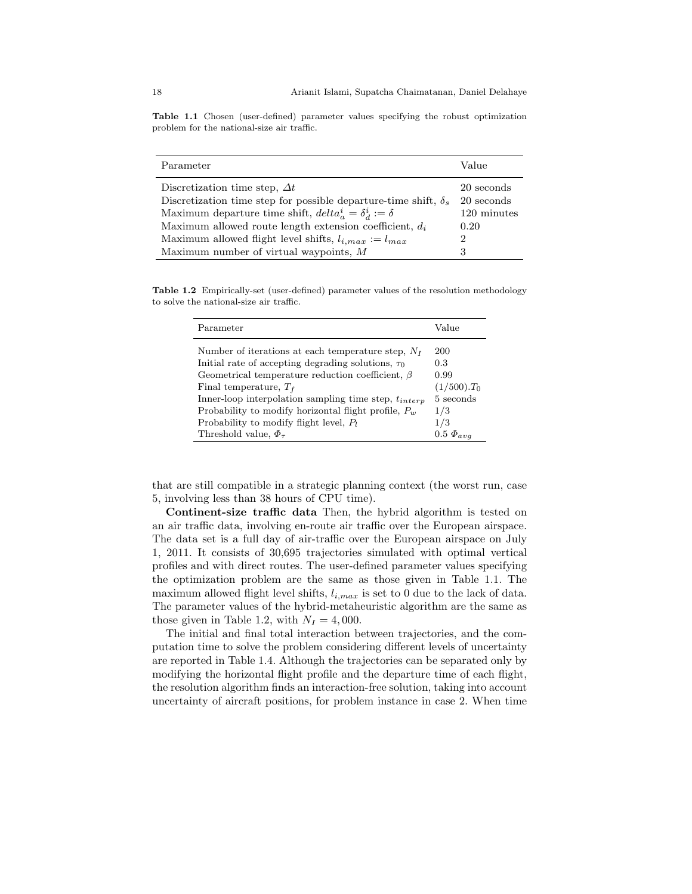Table 1.1 Chosen (user-defined) parameter values specifying the robust optimization problem for the national-size air traffic.

| Parameter                                                              | Value       |
|------------------------------------------------------------------------|-------------|
|                                                                        |             |
| Discretization time step, $\Delta t$                                   | 20 seconds  |
| Discretization time step for possible departure-time shift, $\delta_s$ | 20 seconds  |
| Maximum departure time shift, $delta_a^i = \delta_d^i := \delta$       | 120 minutes |
| Maximum allowed route length extension coefficient, $d_i$              | 0.20        |
| Maximum allowed flight level shifts, $l_{i,max} := l_{max}$            | 2           |
| Maximum number of virtual waypoints, $M$                               | 3           |

Table 1.2 Empirically-set (user-defined) parameter values of the resolution methodology to solve the national-size air traffic.

| Parameter                                                 | Value              |
|-----------------------------------------------------------|--------------------|
| Number of iterations at each temperature step, $N_I$      | 200                |
| Initial rate of accepting degrading solutions, $\tau_0$   | 0.3                |
| Geometrical temperature reduction coefficient, $\beta$    | 0.99               |
| Final temperature, $T_f$                                  | $(1/500).T_0$      |
| Inner-loop interpolation sampling time step, $t_{interp}$ | 5 seconds          |
| Probability to modify horizontal flight profile, $P_w$    | 1/3                |
| Probability to modify flight level, $P_1$                 | 1/3                |
| Threshold value, $\Phi_{\tau}$                            | $0.5 \ \Phi_{avg}$ |

that are still compatible in a strategic planning context (the worst run, case 5, involving less than 38 hours of CPU time).

Continent-size traffic data Then, the hybrid algorithm is tested on an air traffic data, involving en-route air traffic over the European airspace. The data set is a full day of air-traffic over the European airspace on July 1, 2011. It consists of 30,695 trajectories simulated with optimal vertical profiles and with direct routes. The user-defined parameter values specifying the optimization problem are the same as those given in Table 1.1. The maximum allowed flight level shifts,  $l_{i,max}$  is set to 0 due to the lack of data. The parameter values of the hybrid-metaheuristic algorithm are the same as those given in Table 1.2, with  $N_I = 4,000$ .

The initial and final total interaction between trajectories, and the computation time to solve the problem considering different levels of uncertainty are reported in Table 1.4. Although the trajectories can be separated only by modifying the horizontal flight profile and the departure time of each flight, the resolution algorithm finds an interaction-free solution, taking into account uncertainty of aircraft positions, for problem instance in case 2. When time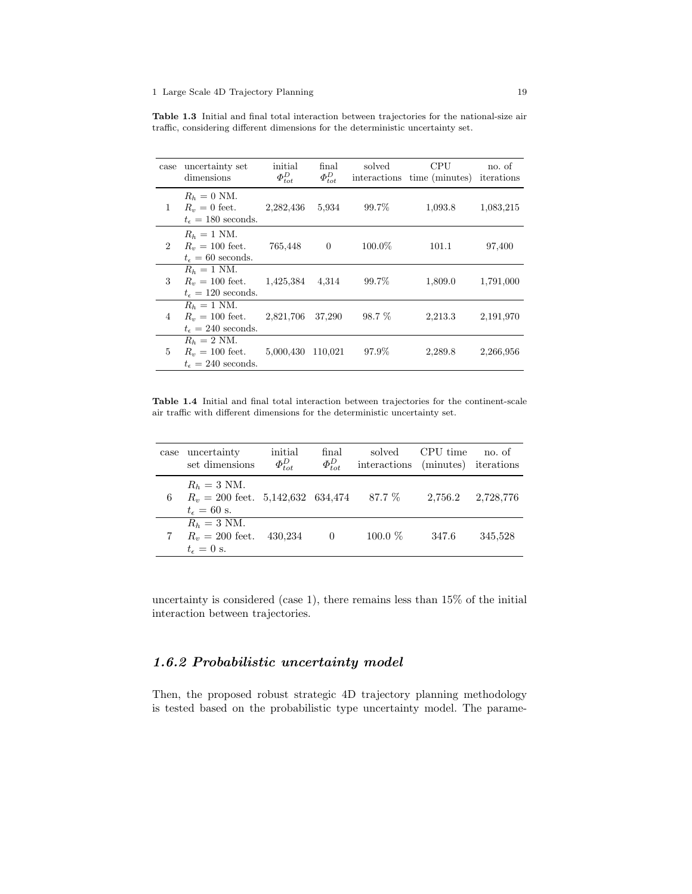Table 1.3 Initial and final total interaction between trajectories for the national-size air traffic, considering different dimensions for the deterministic uncertainty set.

| case           | uncertainty set<br>dimensions                                                   | initial<br>$\Phi_{tot}^D$ | final<br>$\Phi_{tot}^D$ | solved    | <b>CPU</b><br>interactions time (minutes) iterations | no. of    |
|----------------|---------------------------------------------------------------------------------|---------------------------|-------------------------|-----------|------------------------------------------------------|-----------|
| 1              | $R_h = 0$ NM.<br>$R_v = 0$ feet.<br>$t_{\epsilon} = 180$ seconds.               | 2,282,436                 | 5.934                   | 99.7%     | 1,093.8                                              | 1,083,215 |
| $\overline{2}$ | $R_h = 1$ NM.<br>$R_v = 100$ feet.<br>$t_{\epsilon} = 60$ seconds.              | 765,448                   | $\overline{0}$          | $100.0\%$ | 101.1                                                | 97,400    |
| 3              | $R_h = 1$ NM.<br>$R_v = 100$ feet. $1,425,384$<br>$t_{\epsilon} = 120$ seconds. |                           | 4.314                   | 99.7%     | 1,809.0                                              | 1,791,000 |
| 4              | $R_h = 1$ NM.<br>$R_v = 100$ feet.<br>$t_{\epsilon} = 240$ seconds.             | 2,821,706                 | 37,290                  | 98.7 %    | 2,213.3                                              | 2,191,970 |
| 5              | $R_h = 2$ NM.<br>$R_v = 100$ feet.<br>$t_{\epsilon} = 240$ seconds.             | 5,000,430                 | 110,021                 | 97.9%     | 2,289.8                                              | 2,266,956 |

Table 1.4 Initial and final total interaction between trajectories for the continent-scale air traffic with different dimensions for the deterministic uncertainty set.

| case | uncertainty<br>set dimensions                                                  | initial<br>$\Phi_{tot}^D$ | final<br>$\Phi_{tot}^D$ | solved<br>interactions (minutes) iterations | CPU time | no. of    |
|------|--------------------------------------------------------------------------------|---------------------------|-------------------------|---------------------------------------------|----------|-----------|
| 6    | $R_h = 3$ NM.<br>$R_v = 200$ feet. 5,142,632 634,474<br>$t_{\epsilon} = 60$ s. |                           |                         | 87.7 %                                      | 2.756.2  | 2,728,776 |
|      | $R_h = 3$ NM.<br>$R_v = 200$ feet.<br>$t_{\epsilon}=0$ s.                      | 430.234                   | $\left( \right)$        | $100.0\%$                                   | 347.6    | 345.528   |

uncertainty is considered (case 1), there remains less than 15% of the initial interaction between trajectories.

## 1.6.2 Probabilistic uncertainty model

Then, the proposed robust strategic 4D trajectory planning methodology is tested based on the probabilistic type uncertainty model. The parame-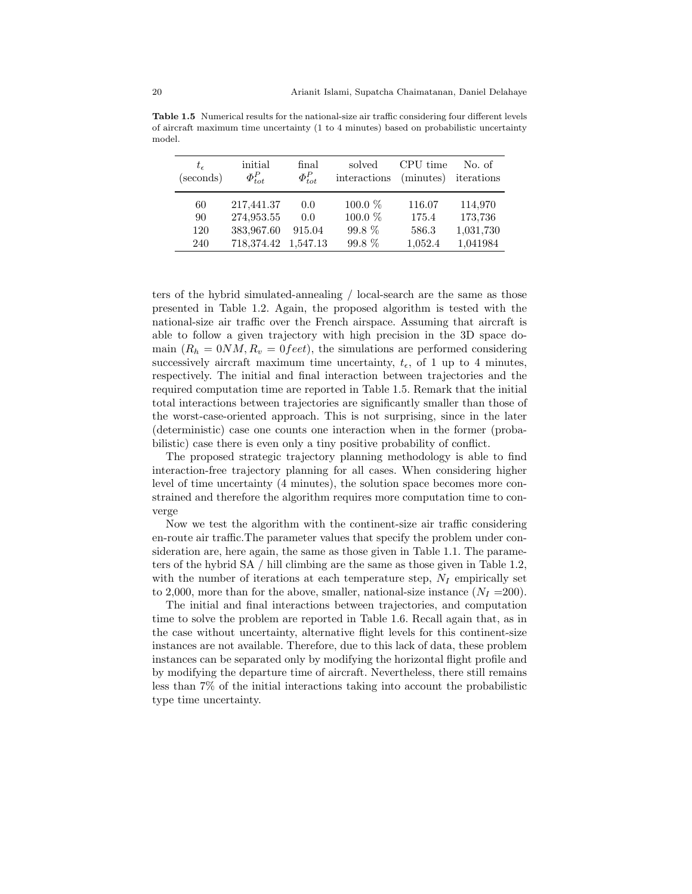| $t_{\epsilon}$<br>(seconds) | initial<br>$\Phi_{tot}^P$ | final<br>$\Phi_{tot}^P$ | solved<br>interactions | CPU time<br>(minutes) | No. of<br>iterations |
|-----------------------------|---------------------------|-------------------------|------------------------|-----------------------|----------------------|
| 60                          | 217,441.37                | 0.0                     | 100.0 %                | 116.07                | 114,970              |
| 90                          | 274,953.55                | 0.0                     | $100.0\%$              | 175.4                 | 173,736              |
| 120                         | 383,967.60                | 915.04                  | 99.8 %                 | 586.3                 | 1,031,730            |
| 240                         | 718,374.42                | 1,547.13                | $99.8\%$               | 1,052.4               | 1,041984             |

Table 1.5 Numerical results for the national-size air traffic considering four different levels of aircraft maximum time uncertainty (1 to 4 minutes) based on probabilistic uncertainty model.

ters of the hybrid simulated-annealing / local-search are the same as those presented in Table 1.2. Again, the proposed algorithm is tested with the national-size air traffic over the French airspace. Assuming that aircraft is able to follow a given trajectory with high precision in the 3D space domain  $(R_h = 0NM, R_v = 0 feet)$ , the simulations are performed considering successively aircraft maximum time uncertainty,  $t_{\epsilon}$ , of 1 up to 4 minutes, respectively. The initial and final interaction between trajectories and the required computation time are reported in Table 1.5. Remark that the initial total interactions between trajectories are significantly smaller than those of the worst-case-oriented approach. This is not surprising, since in the later (deterministic) case one counts one interaction when in the former (probabilistic) case there is even only a tiny positive probability of conflict.

The proposed strategic trajectory planning methodology is able to find interaction-free trajectory planning for all cases. When considering higher level of time uncertainty (4 minutes), the solution space becomes more constrained and therefore the algorithm requires more computation time to converge

Now we test the algorithm with the continent-size air traffic considering en-route air traffic.The parameter values that specify the problem under consideration are, here again, the same as those given in Table 1.1. The parameters of the hybrid SA / hill climbing are the same as those given in Table 1.2, with the number of iterations at each temperature step,  $N_I$  empirically set to 2,000, more than for the above, smaller, national-size instance  $(N_I = 200)$ .

The initial and final interactions between trajectories, and computation time to solve the problem are reported in Table 1.6. Recall again that, as in the case without uncertainty, alternative flight levels for this continent-size instances are not available. Therefore, due to this lack of data, these problem instances can be separated only by modifying the horizontal flight profile and by modifying the departure time of aircraft. Nevertheless, there still remains less than 7% of the initial interactions taking into account the probabilistic type time uncertainty.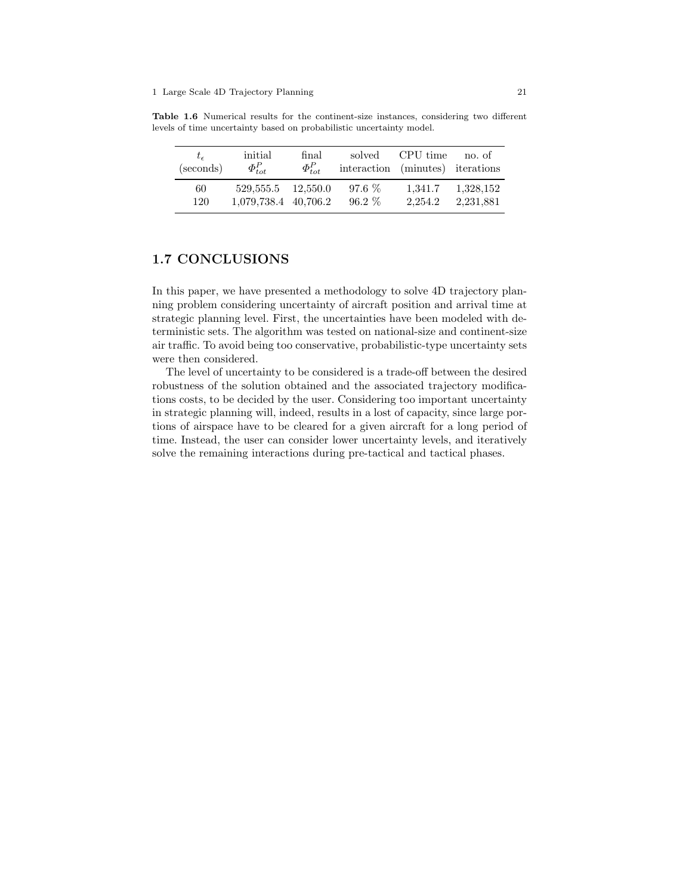Table 1.6 Numerical results for the continent-size instances, considering two different levels of time uncertainty based on probabilistic uncertainty model.

| $t_{\epsilon}$<br>(seconds) | initial<br>$\Phi_{tot}^P$ | final<br>$\Phi_{tot}^P$ | solved<br>interaction (minutes) iterations | CPU time | no. of    |
|-----------------------------|---------------------------|-------------------------|--------------------------------------------|----------|-----------|
| 60                          | 529.555.5 12.550.0        |                         | $97.6\%$                                   | 1.341.7  | 1,328,152 |
| 120                         | 1,079,738.4 40,706.2      |                         | $96.2\%$                                   | 2.254.2  | 2.231.881 |

## 1.7 CONCLUSIONS

In this paper, we have presented a methodology to solve 4D trajectory planning problem considering uncertainty of aircraft position and arrival time at strategic planning level. First, the uncertainties have been modeled with deterministic sets. The algorithm was tested on national-size and continent-size air traffic. To avoid being too conservative, probabilistic-type uncertainty sets were then considered.

The level of uncertainty to be considered is a trade-off between the desired robustness of the solution obtained and the associated trajectory modifications costs, to be decided by the user. Considering too important uncertainty in strategic planning will, indeed, results in a lost of capacity, since large portions of airspace have to be cleared for a given aircraft for a long period of time. Instead, the user can consider lower uncertainty levels, and iteratively solve the remaining interactions during pre-tactical and tactical phases.